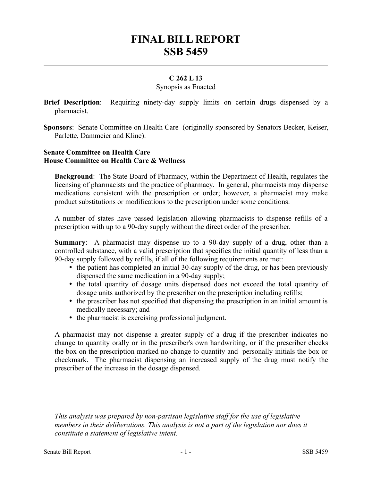# **FINAL BILL REPORT SSB 5459**

## **C 262 L 13**

#### Synopsis as Enacted

**Brief Description**: Requiring ninety-day supply limits on certain drugs dispensed by a pharmacist.

**Sponsors**: Senate Committee on Health Care (originally sponsored by Senators Becker, Keiser, Parlette, Dammeier and Kline).

### **Senate Committee on Health Care House Committee on Health Care & Wellness**

**Background**: The State Board of Pharmacy, within the Department of Health, regulates the licensing of pharmacists and the practice of pharmacy. In general, pharmacists may dispense medications consistent with the prescription or order; however, a pharmacist may make product substitutions or modifications to the prescription under some conditions.

A number of states have passed legislation allowing pharmacists to dispense refills of a prescription with up to a 90-day supply without the direct order of the prescriber.

**Summary**: A pharmacist may dispense up to a 90-day supply of a drug, other than a controlled substance, with a valid prescription that specifies the initial quantity of less than a 90-day supply followed by refills, if all of the following requirements are met:

- the patient has completed an initial 30-day supply of the drug, or has been previously dispensed the same medication in a 90-day supply;
- the total quantity of dosage units dispensed does not exceed the total quantity of dosage units authorized by the prescriber on the prescription including refills;
- the prescriber has not specified that dispensing the prescription in an initial amount is medically necessary; and
- the pharmacist is exercising professional judgment.

A pharmacist may not dispense a greater supply of a drug if the prescriber indicates no change to quantity orally or in the prescriber's own handwriting, or if the prescriber checks the box on the prescription marked no change to quantity and personally initials the box or checkmark. The pharmacist dispensing an increased supply of the drug must notify the prescriber of the increase in the dosage dispensed.

––––––––––––––––––––––

*This analysis was prepared by non-partisan legislative staff for the use of legislative members in their deliberations. This analysis is not a part of the legislation nor does it constitute a statement of legislative intent.*